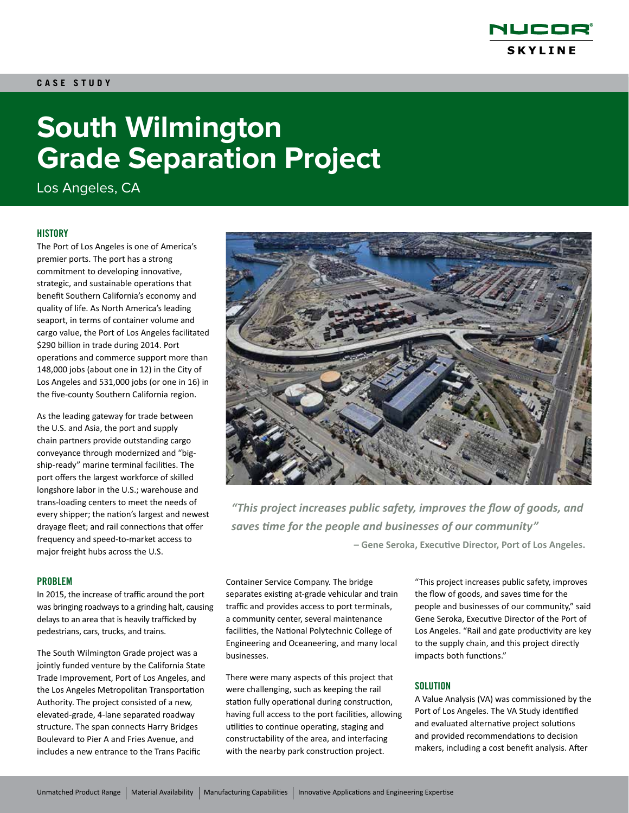

# **South Wilmington Grade Separation Project**

Los Angeles, CA

#### **HISTORY**

The Port of Los Angeles is one of America's premier ports. The port has a strong commitment to developing innovative, strategic, and sustainable operations that benefit Southern California's economy and quality of life. As North America's leading seaport, in terms of container volume and cargo value, the Port of Los Angeles facilitated \$290 billion in trade during 2014. Port operations and commerce support more than 148,000 jobs (about one in 12) in the City of Los Angeles and 531,000 jobs (or one in 16) in the five-county Southern California region.

As the leading gateway for trade between the U.S. and Asia, the port and supply chain partners provide outstanding cargo conveyance through modernized and "bigship-ready" marine terminal facilities. The port offers the largest workforce of skilled longshore labor in the U.S.; warehouse and trans-loading centers to meet the needs of every shipper; the nation's largest and newest drayage fleet; and rail connections that offer frequency and speed-to-market access to major freight hubs across the U.S.

#### PROBLEM

In 2015, the increase of traffic around the port was bringing roadways to a grinding halt, causing delays to an area that is heavily trafficked by pedestrians, cars, trucks, and trains.

The South Wilmington Grade project was a jointly funded venture by the California State Trade Improvement, Port of Los Angeles, and the Los Angeles Metropolitan Transportation Authority. The project consisted of a new, elevated-grade, 4-lane separated roadway structure. The span connects Harry Bridges Boulevard to Pier A and Fries Avenue, and includes a new entrance to the Trans Pacific



*"This project increases public safety, improves the flow of goods, and saves time for the people and businesses of our community"* **– Gene Seroka, Executive Director, Port of Los Angeles.**

Container Service Company. The bridge separates existing at-grade vehicular and train traffic and provides access to port terminals, a community center, several maintenance facilities, the National Polytechnic College of Engineering and Oceaneering, and many local businesses.

There were many aspects of this project that were challenging, such as keeping the rail station fully operational during construction, having full access to the port facilities, allowing utilities to continue operating, staging and constructability of the area, and interfacing with the nearby park construction project.

"This project increases public safety, improves the flow of goods, and saves time for the people and businesses of our community," said Gene Seroka, Executive Director of the Port of Los Angeles. "Rail and gate productivity are key to the supply chain, and this project directly impacts both functions."

#### **SOLUTION**

A Value Analysis (VA) was commissioned by the Port of Los Angeles. The VA Study identified and evaluated alternative project solutions and provided recommendations to decision makers, including a cost benefit analysis. After